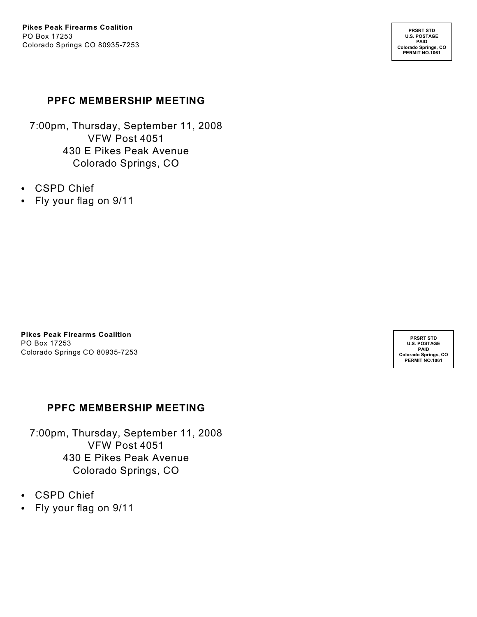**PRSRT STD U.S. POSTAGE PAID Colorado Springs, CO PERMIT NO.1061**

#### **PPFC MEMBERSHIP MEETING**

7:00pm, Thursday, September 11, 2008 VFW Post 4051 430 E Pikes Peak Avenue Colorado Springs, CO

- CSPD Chief
- Fly your flag on 9/11

**Pikes Peak Firearms Coalition** PO Box 17253 Colorado Springs CO 80935-7253

#### **PPFC MEMBERSHIP MEETING**

7:00pm, Thursday, September 11, 2008 VFW Post 4051 430 E Pikes Peak Avenue Colorado Springs, CO

- CSPD Chief
- Fly your flag on 9/11

**PRSRT STD U.S. POSTAGE PAID Colorado Springs, CO PERMIT NO.1061**